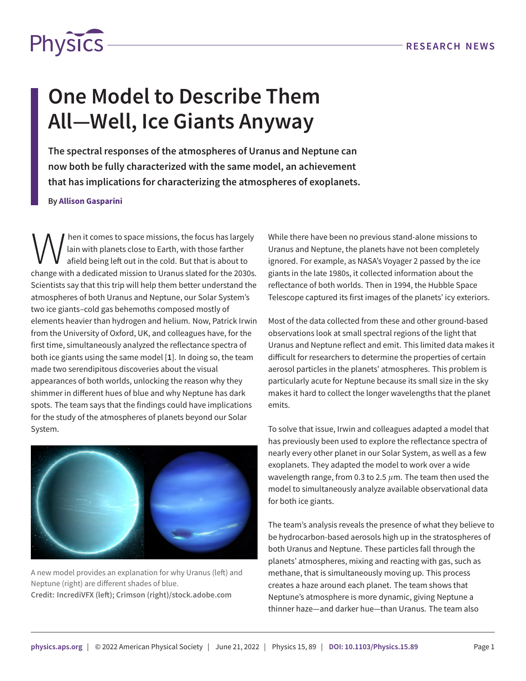

## **One Model to Describe Them All—Well, Ice Giants Anyway**

**The spectral responses of the atmospheres of Uranus and Neptune can now both be fully characterized with the same model, an achievement that has implications for characterizing the atmospheres of exoplanets.**

## **By Allison Gasparini**

W hen it comes to space missions, the focus has largely<br>afield being left out in the cold. But that is about to<br>change with a dedicated mission to Uranus slated for the 2030s. hen it comes to space missions, the focus has largely lain with planets close to Earth, with those farther afield being left out in the cold. But that is about to Scientists say that this trip will help them better understand the atmospheres of both Uranus and Neptune, our Solar System's two ice giants–cold gas behemoths composed mostly of elements heavier than hydrogen and helium. Now, Patrick Irwin from the University of Oxford, UK, and colleagues have, for the first time, simultaneously analyzed the reflectance spectra of both ice giants using the same model [**[1](#page-1-0)**]. In doing so, the team made two serendipitous discoveries about the visual appearances of both worlds, unlocking the reason why they shimmer in different hues of blue and why Neptune has dark spots. The team says that the findings could have implications for the study of the atmospheres of planets beyond our Solar System.



A new model provides an explanation for why Uranus (left) and Neptune (right) are different shades of blue. **Credit: IncrediVFX (left); Crimson (right)/stock.adobe.com**

While there have been no previous stand-alone missions to Uranus and Neptune, the planets have not been completely ignored. For example, as NASA's Voyager 2 passed by the ice giants in the late 1980s, it collected information about the reflectance of both worlds. Then in 1994, the Hubble Space Telescope captured its first images of the planets' icy exteriors.

Most of the data collected from these and other ground-based observations look at small spectral regions of the light that Uranus and Neptune reflect and emit. This limited data makes it difficult for researchers to determine the properties of certain aerosol particles in the planets' atmospheres. This problem is particularly acute for Neptune because its small size in the sky makes it hard to collect the longer wavelengths that the planet emits.

To solve that issue, Irwin and colleagues adapted a model that has previously been used to explore the reflectance spectra of nearly every other planet in our Solar System, as well as a few exoplanets. They adapted the model to work over a wide wavelength range, from 0.3 to 2.5 *µ*m. The team then used the model to simultaneously analyze available observational data for both ice giants.

The team's analysis reveals the presence of what they believe to be hydrocarbon-based aerosols high up in the stratospheres of both Uranus and Neptune. These particles fall through the planets' atmospheres, mixing and reacting with gas, such as methane, that is simultaneously moving up. This process creates a haze around each planet. The team shows that Neptune's atmosphere is more dynamic, giving Neptune a thinner haze—and darker hue—than Uranus. The team also